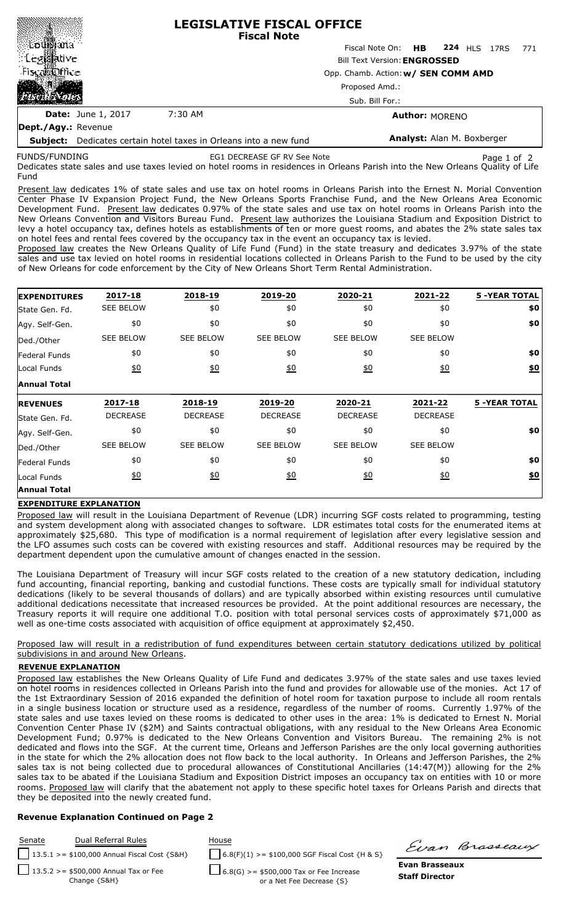|                                                                          |                           | <b>LEGISLATIVE FISCAL OFFICE</b><br><b>Fiscal Note</b>                     |                                   |  |  |  |  |     |
|--------------------------------------------------------------------------|---------------------------|----------------------------------------------------------------------------|-----------------------------------|--|--|--|--|-----|
| ∭Lou∭aria                                                                |                           |                                                                            | Fiscal Note On: HB 224 HLS 17RS   |  |  |  |  | 771 |
| : Leg羂itive                                                              |                           | <b>Bill Text Version: ENGROSSED</b><br>Opp. Chamb. Action: w/ SEN COMM AMD |                                   |  |  |  |  |     |
| Fiscal office                                                            |                           |                                                                            |                                   |  |  |  |  |     |
| 花枝枝                                                                      |                           | Proposed Amd.:<br>Sub. Bill For.:                                          |                                   |  |  |  |  |     |
|                                                                          |                           |                                                                            |                                   |  |  |  |  |     |
|                                                                          | <b>Date:</b> June 1, 2017 | 7:30 AM                                                                    | <b>Author: MORENO</b>             |  |  |  |  |     |
| Dept./Agy.: Revenue                                                      |                           |                                                                            |                                   |  |  |  |  |     |
| <b>Subject:</b> Dedicates certain hotel taxes in Orleans into a new fund |                           |                                                                            | <b>Analyst:</b> Alan M. Boxberger |  |  |  |  |     |

FUNDS/FUNDING

EG1 DECREASE GF RV See Note **Page 1 of 2** Page 1 of 2

**Subject:** Dedicates certain hotel taxes in Orleans into a new fund

Dedicates state sales and use taxes levied on hotel rooms in residences in Orleans Parish into the New Orleans Quality of Life Fund

Present law dedicates 1% of state sales and use tax on hotel rooms in Orleans Parish into the Ernest N. Morial Convention Center Phase IV Expansion Project Fund, the New Orleans Sports Franchise Fund, and the New Orleans Area Economic Development Fund. Present law dedicates 0.97% of the state sales and use tax on hotel rooms in Orleans Parish into the New Orleans Convention and Visitors Bureau Fund. Present law authorizes the Louisiana Stadium and Exposition District to levy a hotel occupancy tax, defines hotels as establishments of ten or more guest rooms, and abates the 2% state sales tax on hotel fees and rental fees covered by the occupancy tax in the event an occupancy tax is levied.

Proposed law creates the New Orleans Quality of Life Fund (Fund) in the state treasury and dedicates 3.97% of the state sales and use tax levied on hotel rooms in residential locations collected in Orleans Parish to the Fund to be used by the city of New Orleans for code enforcement by the City of New Orleans Short Term Rental Administration.

| <b>EXPENDITURES</b> | 2017-18          | 2018-19          | 2019-20          | 2020-21          | 2021-22          | <b>5 -YEAR TOTAL</b> |
|---------------------|------------------|------------------|------------------|------------------|------------------|----------------------|
| State Gen. Fd.      | <b>SEE BELOW</b> | \$0              | \$0              | \$0              | \$0              | \$0                  |
| Agy. Self-Gen.      | \$0              | \$0              | \$0              | \$0              | \$0              | \$0                  |
| Ded./Other          | <b>SEE BELOW</b> | <b>SEE BELOW</b> | <b>SEE BELOW</b> | <b>SEE BELOW</b> | <b>SEE BELOW</b> |                      |
| Federal Funds       | \$0              | \$0              | \$0              | \$0              | \$0              | \$0                  |
| Local Funds         | 60               | 60               | 60               | 60               | $\underline{50}$ | $\underline{\$0}$    |
| <b>Annual Total</b> |                  |                  |                  |                  |                  |                      |
|                     |                  |                  |                  |                  |                  |                      |
| <b>REVENUES</b>     | 2017-18          | 2018-19          | 2019-20          | 2020-21          | 2021-22          | <b>5 -YEAR TOTAL</b> |
| State Gen. Fd.      | <b>DECREASE</b>  | <b>DECREASE</b>  | <b>DECREASE</b>  | <b>DECREASE</b>  | <b>DECREASE</b>  |                      |
| Agy. Self-Gen.      | \$0              | \$0              | \$0              | \$0              | \$0              | \$0                  |
| Ded./Other          | <b>SEE BELOW</b> | <b>SEE BELOW</b> | <b>SEE BELOW</b> | <b>SEE BELOW</b> | <b>SEE BELOW</b> |                      |
| Federal Funds       | \$0              | \$0              | \$0              | \$0              | \$0              | \$0                  |
| Local Funds         | $\underline{50}$ | $\underline{40}$ | 60               | $\underline{40}$ | $\underline{40}$ | \$0                  |

## **EXPENDITURE EXPLANATION**

Proposed law will result in the Louisiana Department of Revenue (LDR) incurring SGF costs related to programming, testing and system development along with associated changes to software. LDR estimates total costs for the enumerated items at approximately \$25,680. This type of modification is a normal requirement of legislation after every legislative session and the LFO assumes such costs can be covered with existing resources and staff. Additional resources may be required by the department dependent upon the cumulative amount of changes enacted in the session.

The Louisiana Department of Treasury will incur SGF costs related to the creation of a new statutory dedication, including fund accounting, financial reporting, banking and custodial functions. These costs are typically small for individual statutory dedications (likely to be several thousands of dollars) and are typically absorbed within existing resources until cumulative additional dedications necessitate that increased resources be provided. At the point additional resources are necessary, the Treasury reports it will require one additional T.O. position with total personal services costs of approximately \$71,000 as well as one-time costs associated with acquisition of office equipment at approximately \$2,450.

Proposed law will result in a redistribution of fund expenditures between certain statutory dedications utilized by political subdivisions in and around New Orleans.

## **REVENUE EXPLANATION**

Proposed law establishes the New Orleans Quality of Life Fund and dedicates 3.97% of the state sales and use taxes levied on hotel rooms in residences collected in Orleans Parish into the fund and provides for allowable use of the monies. Act 17 of the 1st Extraordinary Session of 2016 expanded the definition of hotel room for taxation purpose to include all room rentals in a single business location or structure used as a residence, regardless of the number of rooms. Currently 1.97% of the state sales and use taxes levied on these rooms is dedicated to other uses in the area: 1% is dedicated to Ernest N. Morial Convention Center Phase IV (\$2M) and Saints contractual obligations, with any residual to the New Orleans Area Economic Development Fund; 0.97% is dedicated to the New Orleans Convention and Visitors Bureau. The remaining 2% is not dedicated and flows into the SGF. At the current time, Orleans and Jefferson Parishes are the only local governing authorities in the state for which the 2% allocation does not flow back to the local authority. In Orleans and Jefferson Parishes, the 2% sales tax is not being collected due to procedural allowances of Constitutional Ancillaries (14:47(M)) allowing for the 2% sales tax to be abated if the Louisiana Stadium and Exposition District imposes an occupancy tax on entities with 10 or more rooms. Proposed law will clarify that the abatement not apply to these specific hotel taxes for Orleans Parish and directs that they be deposited into the newly created fund.

## **Revenue Explanation Continued on Page 2**

**Staff Director** Senate Dual Referral Rules House 13.5.1 >= \$100,000 Annual Fiscal Cost {S&H} 6.8(F)(1) >= \$100,000 SGF Fiscal Cost {H & S} 13.5.2 >= \$500,000 Annual Tax or Fee Change {S&H} 6.8(G) >= \$500,000 Tax or Fee Increase or a Net Fee Decrease {S}

Einn Brasseaux

**Evan Brasseaux**